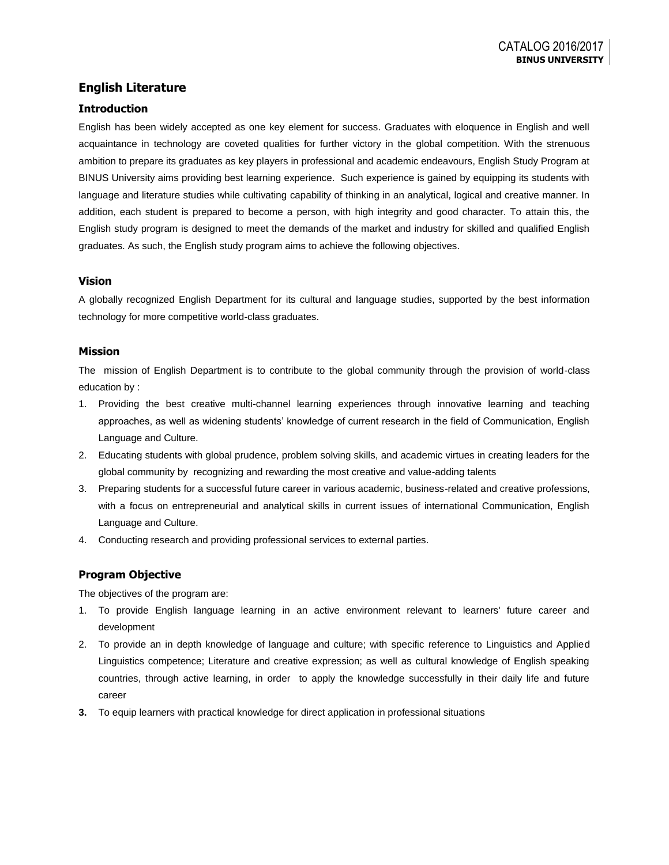## **English Literature**

## **Introduction**

English has been widely accepted as one key element for success. Graduates with eloquence in English and well acquaintance in technology are coveted qualities for further victory in the global competition. With the strenuous ambition to prepare its graduates as key players in professional and academic endeavours, English Study Program at BINUS University aims providing best learning experience. Such experience is gained by equipping its students with language and literature studies while cultivating capability of thinking in an analytical, logical and creative manner. In addition, each student is prepared to become a person, with high integrity and good character. To attain this, the English study program is designed to meet the demands of the market and industry for skilled and qualified English graduates. As such, the English study program aims to achieve the following objectives.

### **Vision**

A globally recognized English Department for its cultural and language studies, supported by the best information technology for more competitive world-class graduates.

### **Mission**

The mission of English Department is to contribute to the global community through the provision of world-class education by :

- 1. Providing the best creative multi-channel learning experiences through innovative learning and teaching approaches, as well as widening students' knowledge of current research in the field of Communication, English Language and Culture.
- 2. Educating students with global prudence, problem solving skills, and academic virtues in creating leaders for the global community by recognizing and rewarding the most creative and value-adding talents
- 3. Preparing students for a successful future career in various academic, business-related and creative professions, with a focus on entrepreneurial and analytical skills in current issues of international Communication, English Language and Culture.
- 4. Conducting research and providing professional services to external parties.

## **Program Objective**

The objectives of the program are:

- 1. To provide English language learning in an active environment relevant to learners' future career and development
- 2. To provide an in depth knowledge of language and culture; with specific reference to Linguistics and Applied Linguistics competence; Literature and creative expression; as well as cultural knowledge of English speaking countries, through active learning, in order to apply the knowledge successfully in their daily life and future career
- **3.** To equip learners with practical knowledge for direct application in professional situations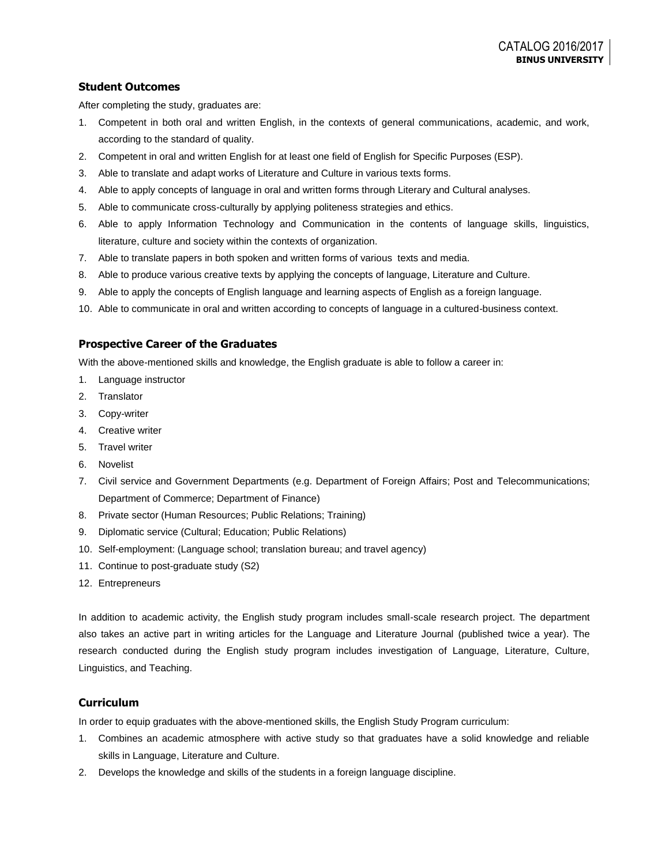## **Student Outcomes**

After completing the study, graduates are:

- 1. Competent in both oral and written English, in the contexts of general communications, academic, and work, according to the standard of quality.
- 2. Competent in oral and written English for at least one field of English for Specific Purposes (ESP).
- 3. Able to translate and adapt works of Literature and Culture in various texts forms.
- 4. Able to apply concepts of language in oral and written forms through Literary and Cultural analyses.
- 5. Able to communicate cross-culturally by applying politeness strategies and ethics.
- 6. Able to apply Information Technology and Communication in the contents of language skills, linguistics, literature, culture and society within the contexts of organization.
- 7. Able to translate papers in both spoken and written forms of various texts and media.
- 8. Able to produce various creative texts by applying the concepts of language, Literature and Culture.
- 9. Able to apply the concepts of English language and learning aspects of English as a foreign language.
- 10. Able to communicate in oral and written according to concepts of language in a cultured-business context.

### **Prospective Career of the Graduates**

With the above-mentioned skills and knowledge, the English graduate is able to follow a career in:

- 1. Language instructor
- 2. Translator
- 3. Copy-writer
- 4. Creative writer
- 5. Travel writer
- 6. Novelist
- 7. Civil service and Government Departments (e.g. Department of Foreign Affairs; Post and Telecommunications; Department of Commerce; Department of Finance)
- 8. Private sector (Human Resources; Public Relations; Training)
- 9. Diplomatic service (Cultural; Education; Public Relations)
- 10. Self-employment: (Language school; translation bureau; and travel agency)
- 11. Continue to post-graduate study (S2)
- 12. Entrepreneurs

In addition to academic activity, the English study program includes small-scale research project. The department also takes an active part in writing articles for the Language and Literature Journal (published twice a year). The research conducted during the English study program includes investigation of Language, Literature, Culture, Linguistics, and Teaching.

### **Curriculum**

In order to equip graduates with the above-mentioned skills, the English Study Program curriculum:

- 1. Combines an academic atmosphere with active study so that graduates have a solid knowledge and reliable skills in Language, Literature and Culture.
- 2. Develops the knowledge and skills of the students in a foreign language discipline.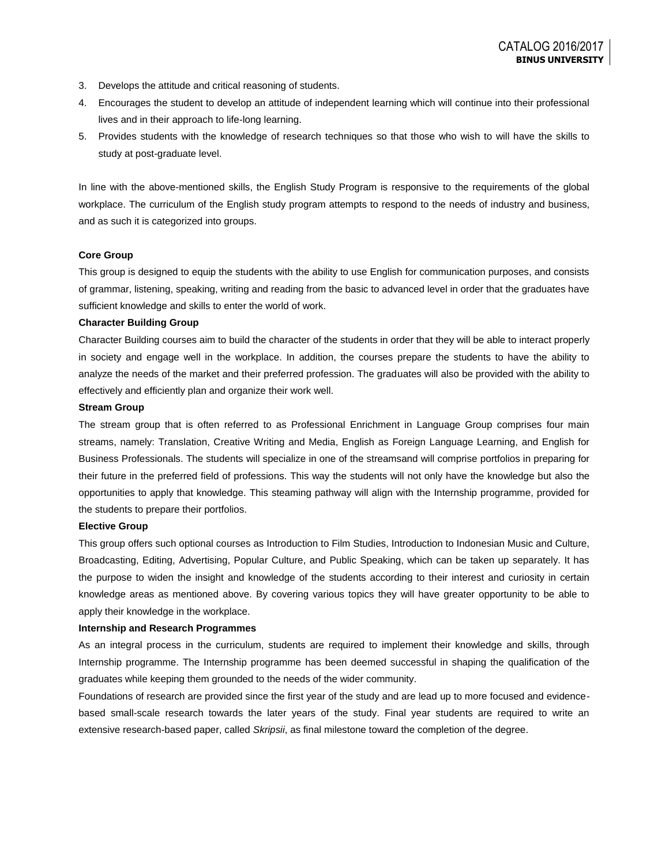- 3. Develops the attitude and critical reasoning of students.
- 4. Encourages the student to develop an attitude of independent learning which will continue into their professional lives and in their approach to life-long learning.
- 5. Provides students with the knowledge of research techniques so that those who wish to will have the skills to study at post-graduate level.

In line with the above-mentioned skills, the English Study Program is responsive to the requirements of the global workplace. The curriculum of the English study program attempts to respond to the needs of industry and business, and as such it is categorized into groups.

#### **Core Group**

This group is designed to equip the students with the ability to use English for communication purposes, and consists of grammar, listening, speaking, writing and reading from the basic to advanced level in order that the graduates have sufficient knowledge and skills to enter the world of work.

### **Character Building Group**

Character Building courses aim to build the character of the students in order that they will be able to interact properly in society and engage well in the workplace. In addition, the courses prepare the students to have the ability to analyze the needs of the market and their preferred profession. The graduates will also be provided with the ability to effectively and efficiently plan and organize their work well.

#### **Stream Group**

The stream group that is often referred to as Professional Enrichment in Language Group comprises four main streams, namely: Translation, Creative Writing and Media, English as Foreign Language Learning, and English for Business Professionals. The students will specialize in one of the streamsand will comprise portfolios in preparing for their future in the preferred field of professions. This way the students will not only have the knowledge but also the opportunities to apply that knowledge. This steaming pathway will align with the Internship programme, provided for the students to prepare their portfolios.

### **Elective Group**

This group offers such optional courses as Introduction to Film Studies, Introduction to Indonesian Music and Culture, Broadcasting, Editing, Advertising, Popular Culture, and Public Speaking, which can be taken up separately. It has the purpose to widen the insight and knowledge of the students according to their interest and curiosity in certain knowledge areas as mentioned above. By covering various topics they will have greater opportunity to be able to apply their knowledge in the workplace.

#### **Internship and Research Programmes**

As an integral process in the curriculum, students are required to implement their knowledge and skills, through Internship programme. The Internship programme has been deemed successful in shaping the qualification of the graduates while keeping them grounded to the needs of the wider community.

Foundations of research are provided since the first year of the study and are lead up to more focused and evidencebased small-scale research towards the later years of the study. Final year students are required to write an extensive research-based paper, called *Skripsii*, as final milestone toward the completion of the degree.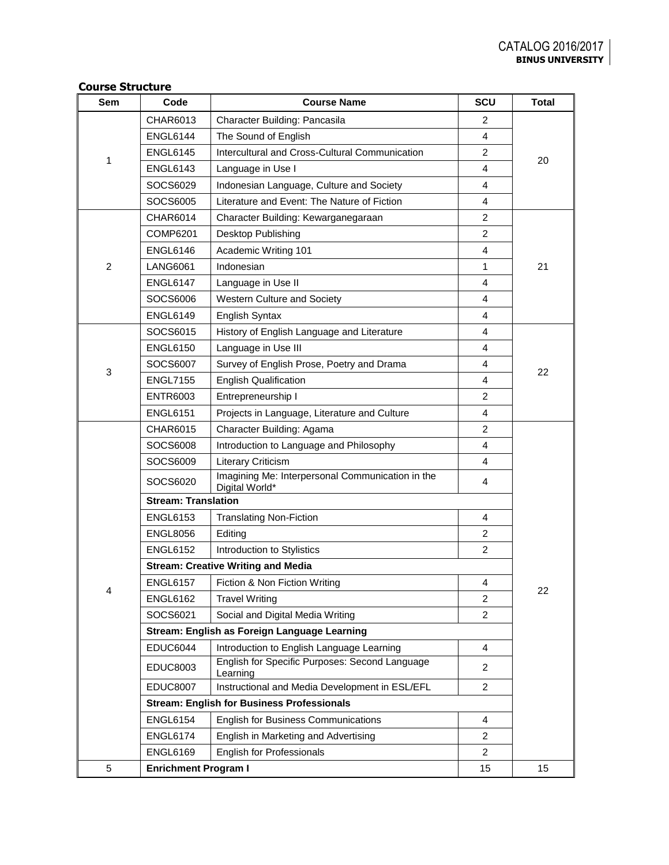## **Course Structure**

| <b>Sem</b>     | Code                                         | <b>Course Name</b>                                                 | SCU            | <b>Total</b> |  |  |  |
|----------------|----------------------------------------------|--------------------------------------------------------------------|----------------|--------------|--|--|--|
|                | CHAR6013                                     | Character Building: Pancasila                                      | 2              |              |  |  |  |
|                | <b>ENGL6144</b>                              | The Sound of English                                               | 4              |              |  |  |  |
|                | <b>ENGL6145</b>                              | Intercultural and Cross-Cultural Communication                     | $\overline{2}$ |              |  |  |  |
| 1              | <b>ENGL6143</b>                              | Language in Use I                                                  | $\overline{4}$ | 20           |  |  |  |
|                | SOCS6029                                     | Indonesian Language, Culture and Society                           | 4              |              |  |  |  |
|                | SOCS6005                                     | Literature and Event: The Nature of Fiction                        | 4              |              |  |  |  |
|                | <b>CHAR6014</b>                              | Character Building: Kewarganegaraan                                | $\overline{c}$ |              |  |  |  |
|                | <b>COMP6201</b>                              | Desktop Publishing                                                 | 2              |              |  |  |  |
|                | <b>ENGL6146</b>                              | Academic Writing 101                                               | 4              |              |  |  |  |
| $\overline{2}$ | <b>LANG6061</b>                              | Indonesian                                                         | 1              | 21           |  |  |  |
|                | <b>ENGL6147</b>                              | Language in Use II                                                 | $\overline{4}$ |              |  |  |  |
|                | SOCS6006                                     | Western Culture and Society                                        | $\overline{4}$ |              |  |  |  |
|                | <b>ENGL6149</b>                              | English Syntax                                                     | 4              |              |  |  |  |
|                | SOCS6015                                     | History of English Language and Literature                         | $\overline{4}$ |              |  |  |  |
|                | <b>ENGL6150</b>                              | Language in Use III                                                | $\overline{4}$ |              |  |  |  |
|                | SOCS6007                                     | Survey of English Prose, Poetry and Drama                          | $\overline{4}$ |              |  |  |  |
| 3              | <b>ENGL7155</b>                              | <b>English Qualification</b>                                       | $\overline{4}$ | 22           |  |  |  |
|                | <b>ENTR6003</b>                              | Entrepreneurship I                                                 | $\overline{c}$ |              |  |  |  |
|                | <b>ENGL6151</b>                              | Projects in Language, Literature and Culture                       | $\overline{4}$ |              |  |  |  |
|                | <b>CHAR6015</b>                              | Character Building: Agama                                          | $\overline{2}$ |              |  |  |  |
|                | SOCS6008                                     | Introduction to Language and Philosophy                            | 4              |              |  |  |  |
|                | SOCS6009                                     | Literary Criticism                                                 | $\overline{4}$ |              |  |  |  |
|                | SOCS6020                                     | Imagining Me: Interpersonal Communication in the<br>Digital World* | $\overline{4}$ |              |  |  |  |
|                | <b>Stream: Translation</b>                   |                                                                    |                |              |  |  |  |
|                | <b>ENGL6153</b>                              | <b>Translating Non-Fiction</b>                                     | 4              |              |  |  |  |
|                | <b>ENGL8056</b>                              | Editing                                                            | 2              |              |  |  |  |
|                | <b>ENGL6152</b>                              | Introduction to Stylistics                                         | $\overline{2}$ |              |  |  |  |
|                |                                              | <b>Stream: Creative Writing and Media</b>                          |                |              |  |  |  |
| 4              | <b>ENGL6157</b>                              | Fiction & Non Fiction Writing                                      | 4              | 22           |  |  |  |
|                | <b>ENGL6162</b>                              | <b>Travel Writing</b>                                              | 2              |              |  |  |  |
|                | SOCS6021                                     | Social and Digital Media Writing                                   | $\overline{2}$ |              |  |  |  |
|                | Stream: English as Foreign Language Learning |                                                                    |                |              |  |  |  |
|                | <b>EDUC6044</b>                              | Introduction to English Language Learning                          | 4              |              |  |  |  |
|                | <b>EDUC8003</b>                              | English for Specific Purposes: Second Language<br>Learning         | $\overline{2}$ |              |  |  |  |
|                | <b>EDUC8007</b>                              | Instructional and Media Development in ESL/EFL                     |                |              |  |  |  |
|                |                                              | <b>Stream: English for Business Professionals</b>                  |                |              |  |  |  |
|                | <b>ENGL6154</b>                              | <b>English for Business Communications</b>                         | 4              |              |  |  |  |
|                | <b>ENGL6174</b>                              | English in Marketing and Advertising                               | 2              |              |  |  |  |
|                | <b>ENGL6169</b>                              | <b>English for Professionals</b>                                   | $\overline{2}$ |              |  |  |  |
| 5              | <b>Enrichment Program I</b>                  |                                                                    | 15             | 15           |  |  |  |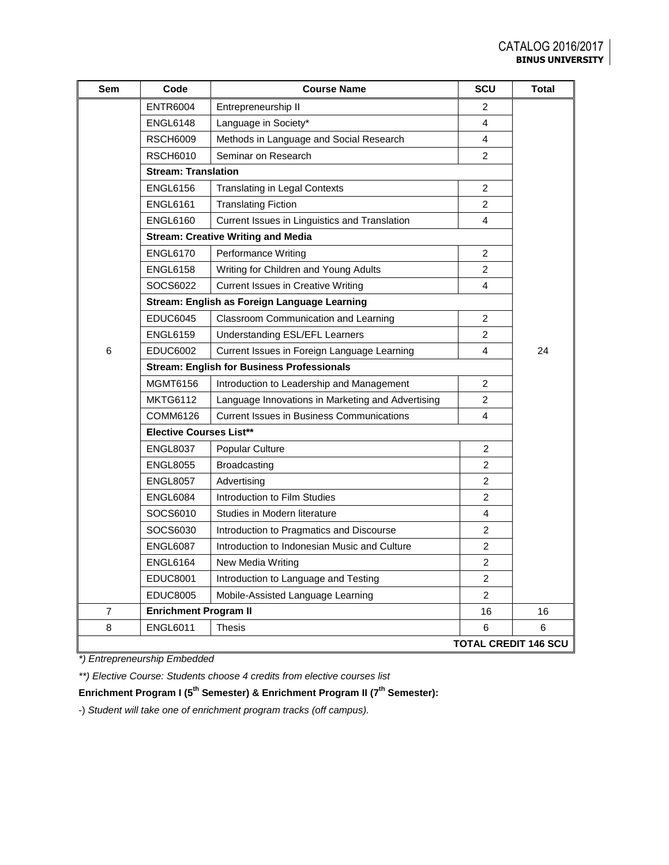| Sem | Code                                              | <b>Course Name</b>                                | SCU            | <b>Total</b>                |  |  |
|-----|---------------------------------------------------|---------------------------------------------------|----------------|-----------------------------|--|--|
|     | <b>ENTR6004</b>                                   | Entrepreneurship II                               | 2              |                             |  |  |
|     | <b>ENGL6148</b>                                   | Language in Society*                              | 4              |                             |  |  |
|     | <b>RSCH6009</b>                                   | Methods in Language and Social Research           | 4              |                             |  |  |
|     | <b>RSCH6010</b>                                   | Seminar on Research                               | $\overline{2}$ |                             |  |  |
|     | <b>Stream: Translation</b>                        |                                                   |                |                             |  |  |
|     | <b>ENGL6156</b>                                   | <b>Translating in Legal Contexts</b>              | $\overline{c}$ |                             |  |  |
|     | <b>ENGL6161</b>                                   | <b>Translating Fiction</b>                        | 2              |                             |  |  |
|     | <b>ENGL6160</b>                                   | Current Issues in Linguistics and Translation     | 4              |                             |  |  |
|     |                                                   | <b>Stream: Creative Writing and Media</b>         |                |                             |  |  |
|     | <b>ENGL6170</b>                                   | Performance Writing                               | 2              |                             |  |  |
|     | <b>ENGL6158</b>                                   | Writing for Children and Young Adults             | $\overline{2}$ |                             |  |  |
|     | SOCS6022                                          | Current Issues in Creative Writing                | 4              |                             |  |  |
|     |                                                   | Stream: English as Foreign Language Learning      |                |                             |  |  |
|     | <b>EDUC6045</b>                                   | Classroom Communication and Learning              | 2              |                             |  |  |
|     | <b>ENGL6159</b>                                   | Understanding ESL/EFL Learners                    | $\overline{c}$ |                             |  |  |
| 6   | <b>EDUC6002</b>                                   | Current Issues in Foreign Language Learning       | 4              | 24                          |  |  |
|     | <b>Stream: English for Business Professionals</b> |                                                   |                |                             |  |  |
|     | <b>MGMT6156</b>                                   | Introduction to Leadership and Management         | $\overline{c}$ |                             |  |  |
|     | <b>MKTG6112</b>                                   | Language Innovations in Marketing and Advertising | $\overline{c}$ |                             |  |  |
|     | COMM6126                                          | <b>Current Issues in Business Communications</b>  | 4              |                             |  |  |
|     | <b>Elective Courses List**</b>                    |                                                   |                |                             |  |  |
|     | <b>ENGL8037</b>                                   | <b>Popular Culture</b>                            | $\overline{2}$ |                             |  |  |
|     | <b>ENGL8055</b>                                   | <b>Broadcasting</b>                               | 2              |                             |  |  |
|     | <b>ENGL8057</b>                                   | Advertising                                       | $\overline{2}$ |                             |  |  |
|     | ENGL6084                                          | Introduction to Film Studies                      | 2              |                             |  |  |
|     | SOCS6010                                          | Studies in Modern literature                      | 4              |                             |  |  |
|     | SOCS6030                                          | Introduction to Pragmatics and Discourse          | 2              |                             |  |  |
|     | <b>ENGL6087</b>                                   | Introduction to Indonesian Music and Culture      | 2              |                             |  |  |
|     | <b>ENGL6164</b>                                   | New Media Writing                                 | $\overline{c}$ |                             |  |  |
|     | <b>EDUC8001</b>                                   | Introduction to Language and Testing              | 2              |                             |  |  |
|     | <b>EDUC8005</b>                                   | Mobile-Assisted Language Learning                 | 2              |                             |  |  |
| 7   | <b>Enrichment Program II</b>                      |                                                   | 16             | 16                          |  |  |
| 8   | <b>ENGL6011</b>                                   | <b>Thesis</b>                                     | 6              | 6                           |  |  |
|     |                                                   |                                                   |                | <b>TOTAL CREDIT 146 SCU</b> |  |  |

*\*) Entrepreneurship Embedded*

*\*\*) Elective Course: Students choose 4 credits from elective courses list*

# **Enrichment Program I (5th Semester) & Enrichment Program II (7th Semester):**

-) *Student will take one of enrichment program tracks (off campus).*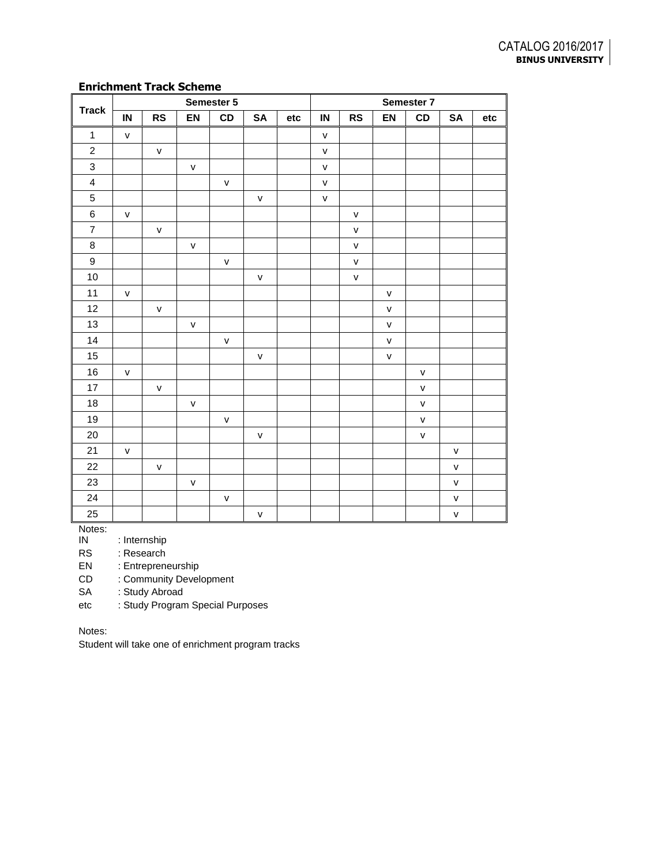## **Enrichment Track Scheme**

|                         | Semester 5   |              |              |              |              | Semester 7 |              |              |              |              |              |     |
|-------------------------|--------------|--------------|--------------|--------------|--------------|------------|--------------|--------------|--------------|--------------|--------------|-----|
| <b>Track</b>            | IN           | RS           | EN           | CD           | SA           | etc        | $\sf IN$     | <b>RS</b>    | EN           | CD           | SA           | etc |
| $\mathbf{1}$            | $\mathsf{v}$ |              |              |              |              |            | $\mathsf{V}$ |              |              |              |              |     |
| $\boldsymbol{2}$        |              | $\mathsf{V}$ |              |              |              |            | $\mathsf{V}$ |              |              |              |              |     |
| $\mathsf 3$             |              |              | $\mathsf{V}$ |              |              |            | $\mathsf{v}$ |              |              |              |              |     |
| $\overline{\mathbf{4}}$ |              |              |              | $\mathsf{V}$ |              |            | $\mathsf{V}$ |              |              |              |              |     |
| $\sqrt{5}$              |              |              |              |              | $\mathsf{V}$ |            | $\mathsf{V}$ |              |              |              |              |     |
| $\,6\,$                 | $\mathsf{V}$ |              |              |              |              |            |              | ${\sf v}$    |              |              |              |     |
| $\overline{\mathbf{7}}$ |              | $\mathsf{V}$ |              |              |              |            |              | $\mathsf{V}$ |              |              |              |     |
| $\,8\,$                 |              |              | $\mathsf{V}$ |              |              |            |              | $\mathsf{V}$ |              |              |              |     |
| $\boldsymbol{9}$        |              |              |              | $\mathsf{V}$ |              |            |              | $\mathsf{V}$ |              |              |              |     |
| 10                      |              |              |              |              | $\mathsf{v}$ |            |              | $\mathsf{V}$ |              |              |              |     |
| 11                      | $\mathsf{V}$ |              |              |              |              |            |              |              | $\mathsf{V}$ |              |              |     |
| 12                      |              | $\mathsf{V}$ |              |              |              |            |              |              | $\mathsf{V}$ |              |              |     |
| 13                      |              |              | $\mathsf{V}$ |              |              |            |              |              | $\mathsf{V}$ |              |              |     |
| 14                      |              |              |              | $\mathsf{V}$ |              |            |              |              | $\mathsf{V}$ |              |              |     |
| $15\,$                  |              |              |              |              | $\mathsf{v}$ |            |              |              | $\mathsf{V}$ |              |              |     |
| $16\,$                  | $\mathsf{v}$ |              |              |              |              |            |              |              |              | $\mathsf{V}$ |              |     |
| $17\,$                  |              | $\mathsf{V}$ |              |              |              |            |              |              |              | $\mathsf{V}$ |              |     |
| $18\,$                  |              |              | $\mathsf{V}$ |              |              |            |              |              |              | $\mathsf{v}$ |              |     |
| $19$                    |              |              |              | $\mathsf{V}$ |              |            |              |              |              | $\mathsf{V}$ |              |     |
| 20                      |              |              |              |              | V            |            |              |              |              | $\mathsf{V}$ |              |     |
| 21                      | $\mathsf{V}$ |              |              |              |              |            |              |              |              |              | $\mathsf{V}$ |     |
| 22                      |              | $\mathsf{v}$ |              |              |              |            |              |              |              |              | $\mathsf{V}$ |     |
| 23                      |              |              | $\mathsf{v}$ |              |              |            |              |              |              |              | $\mathsf{V}$ |     |
| 24                      |              |              |              | $\mathsf{V}$ |              |            |              |              |              |              | $\mathsf{V}$ |     |
| 25                      |              |              |              |              | $\mathsf{V}$ |            |              |              |              |              | $\mathsf{V}$ |     |

Notes:<br>IN

: Internship

RS : Research

EN : Entrepreneurship

CD : Community Development

SA : Study Abroad

etc : Study Program Special Purposes

Notes:

Student will take one of enrichment program tracks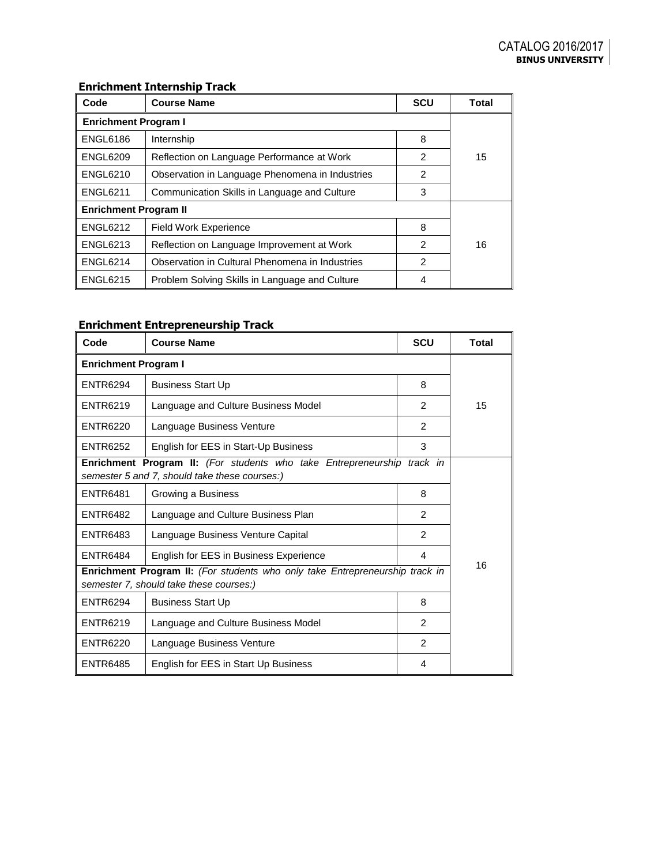# **Enrichment Internship Track**

| Code                         | <b>Course Name</b>                              | <b>SCU</b>    | Total |  |  |
|------------------------------|-------------------------------------------------|---------------|-------|--|--|
| <b>Enrichment Program I</b>  |                                                 |               |       |  |  |
| <b>ENGL6186</b>              | Internship                                      | 8             |       |  |  |
| <b>ENGL6209</b>              | Reflection on Language Performance at Work      | 2             | 15    |  |  |
| <b>ENGL6210</b>              | Observation in Language Phenomena in Industries | 2             |       |  |  |
| <b>ENGL6211</b>              | Communication Skills in Language and Culture    | 3             |       |  |  |
| <b>Enrichment Program II</b> |                                                 |               |       |  |  |
| <b>ENGL6212</b>              | <b>Field Work Experience</b>                    | 8             |       |  |  |
| <b>ENGL6213</b>              | Reflection on Language Improvement at Work      | $\mathcal{P}$ | 16    |  |  |
| <b>ENGL6214</b>              | Observation in Cultural Phenomena in Industries | $\mathcal{P}$ |       |  |  |
| <b>ENGL6215</b>              | Problem Solving Skills in Language and Culture  | 4             |       |  |  |

## **Enrichment Entrepreneurship Track**

| Code                                                                                                                    | <b>Course Name</b>                                                                                                       | <b>SCU</b>     | <b>Total</b> |  |  |  |
|-------------------------------------------------------------------------------------------------------------------------|--------------------------------------------------------------------------------------------------------------------------|----------------|--------------|--|--|--|
| <b>Enrichment Program I</b>                                                                                             |                                                                                                                          |                |              |  |  |  |
| <b>ENTR6294</b>                                                                                                         | <b>Business Start Up</b>                                                                                                 |                |              |  |  |  |
| <b>ENTR6219</b>                                                                                                         | Language and Culture Business Model                                                                                      | $\overline{2}$ | 15           |  |  |  |
| <b>ENTR6220</b>                                                                                                         | Language Business Venture                                                                                                | 2              |              |  |  |  |
| <b>ENTR6252</b>                                                                                                         | English for EES in Start-Up Business                                                                                     | 3              |              |  |  |  |
|                                                                                                                         | Enrichment Program II: (For students who take Entrepreneurship track in<br>semester 5 and 7, should take these courses:) |                |              |  |  |  |
| <b>ENTR6481</b>                                                                                                         | Growing a Business                                                                                                       | 8              |              |  |  |  |
| <b>ENTR6482</b>                                                                                                         | $\mathcal{P}$<br>Language and Culture Business Plan                                                                      |                |              |  |  |  |
| <b>ENTR6483</b>                                                                                                         | $\mathfrak{p}$<br>Language Business Venture Capital                                                                      |                |              |  |  |  |
| <b>ENTR6484</b>                                                                                                         | English for EES in Business Experience<br>4                                                                              |                | 16           |  |  |  |
| Enrichment Program II: (For students who only take Entrepreneurship track in<br>semester 7, should take these courses:) |                                                                                                                          |                |              |  |  |  |
| <b>ENTR6294</b>                                                                                                         | <b>Business Start Up</b><br>8                                                                                            |                |              |  |  |  |
| <b>ENTR6219</b>                                                                                                         | $\mathcal{P}$<br>Language and Culture Business Model                                                                     |                |              |  |  |  |
| <b>ENTR6220</b>                                                                                                         | Language Business Venture                                                                                                | 2              |              |  |  |  |
| <b>ENTR6485</b>                                                                                                         | English for EES in Start Up Business                                                                                     | 4              |              |  |  |  |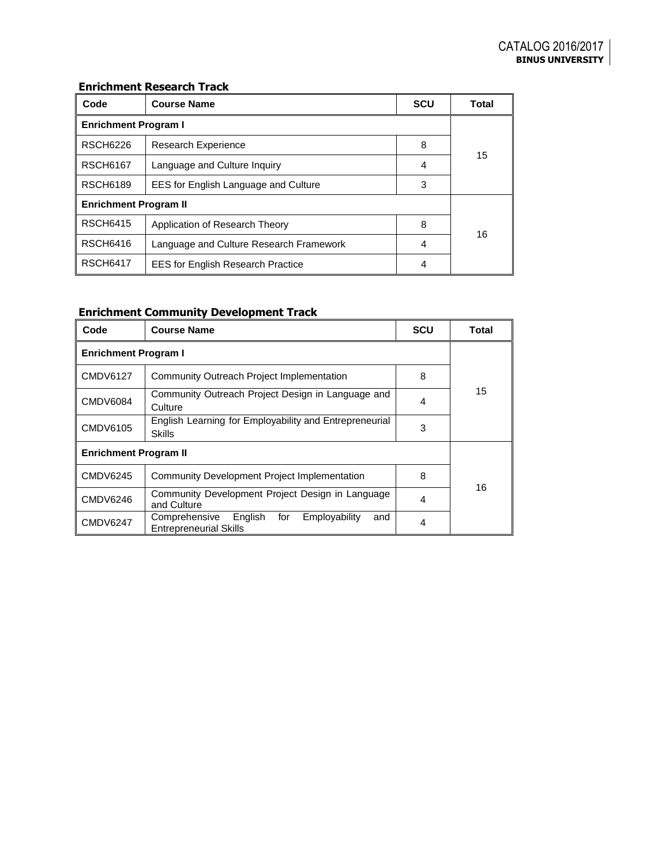# **Enrichment Research Track**

| Code                         | <b>Course Name</b>                       | <b>SCU</b> | Total |  |  |  |
|------------------------------|------------------------------------------|------------|-------|--|--|--|
| <b>Enrichment Program I</b>  |                                          |            |       |  |  |  |
| <b>RSCH6226</b>              | <b>Research Experience</b>               | 8          | 15    |  |  |  |
| <b>RSCH6167</b>              | Language and Culture Inquiry             | 4          |       |  |  |  |
| <b>RSCH6189</b>              | EES for English Language and Culture     | 3          |       |  |  |  |
| <b>Enrichment Program II</b> |                                          |            |       |  |  |  |
| <b>RSCH6415</b>              | Application of Research Theory           | 8          | 16    |  |  |  |
| <b>RSCH6416</b>              | Language and Culture Research Framework  | 4          |       |  |  |  |
| <b>RSCH6417</b>              | <b>EES for English Research Practice</b> | 4          |       |  |  |  |

# **Enrichment Community Development Track**

| Code                         | <b>Course Name</b>                                                                       | <b>SCU</b> | Total |  |  |  |
|------------------------------|------------------------------------------------------------------------------------------|------------|-------|--|--|--|
| <b>Enrichment Program I</b>  |                                                                                          |            |       |  |  |  |
| <b>CMDV6127</b>              | Community Outreach Project Implementation                                                | 8          |       |  |  |  |
| <b>CMDV6084</b>              | Community Outreach Project Design in Language and<br>Culture                             | 4          | 15    |  |  |  |
| CMDV6105                     | English Learning for Employability and Entrepreneurial<br><b>Skills</b>                  | 3          |       |  |  |  |
| <b>Enrichment Program II</b> |                                                                                          |            |       |  |  |  |
| <b>CMDV6245</b>              | <b>Community Development Project Implementation</b>                                      | 8          |       |  |  |  |
| <b>CMDV6246</b>              | Community Development Project Design in Language<br>and Culture                          | 4          | 16    |  |  |  |
| <b>CMDV6247</b>              | English<br>Employability<br>for<br>Comprehensive<br>and<br><b>Entrepreneurial Skills</b> | 4          |       |  |  |  |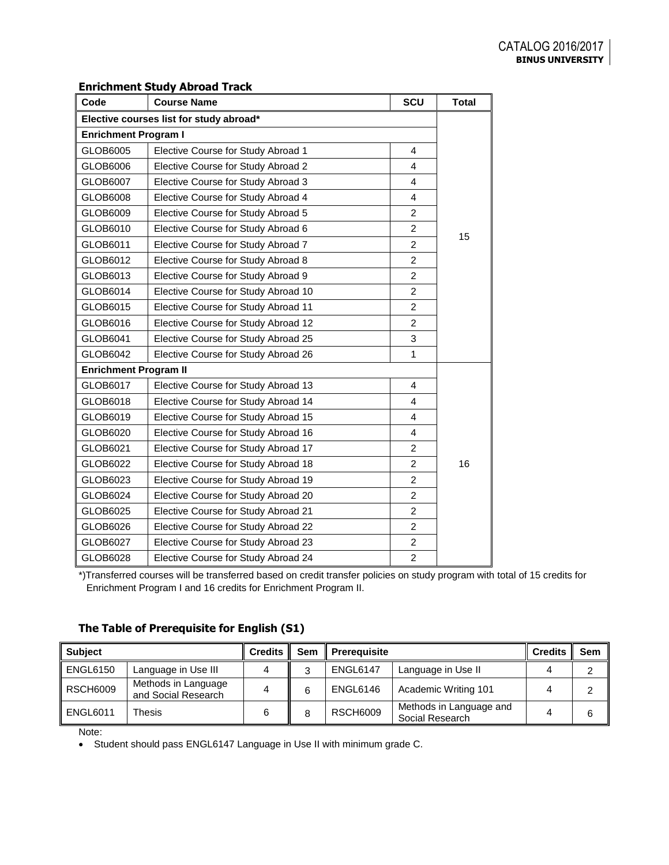| Code                                    | <b>Course Name</b>                  | SCU            | <b>Total</b> |  |  |
|-----------------------------------------|-------------------------------------|----------------|--------------|--|--|
| Elective courses list for study abroad* |                                     |                |              |  |  |
| <b>Enrichment Program I</b>             |                                     |                |              |  |  |
| GLOB6005                                | Elective Course for Study Abroad 1  | 4              |              |  |  |
| GLOB6006                                | Elective Course for Study Abroad 2  | 4              |              |  |  |
| GLOB6007                                | Elective Course for Study Abroad 3  | 4              |              |  |  |
| GLOB6008                                | Elective Course for Study Abroad 4  | 4              |              |  |  |
| GLOB6009                                | Elective Course for Study Abroad 5  | $\overline{2}$ |              |  |  |
| GLOB6010                                | Elective Course for Study Abroad 6  | $\overline{2}$ |              |  |  |
| GLOB6011                                | Elective Course for Study Abroad 7  | $\overline{c}$ | 15           |  |  |
| GLOB6012                                | Elective Course for Study Abroad 8  | $\overline{2}$ |              |  |  |
| GLOB6013                                | Elective Course for Study Abroad 9  | $\overline{2}$ |              |  |  |
| GLOB6014                                | Elective Course for Study Abroad 10 | $\overline{2}$ |              |  |  |
| GLOB6015                                | Elective Course for Study Abroad 11 | $\overline{c}$ |              |  |  |
| GLOB6016                                | Elective Course for Study Abroad 12 | $\overline{2}$ |              |  |  |
| GLOB6041                                | Elective Course for Study Abroad 25 | 3              |              |  |  |
| GLOB6042                                | Elective Course for Study Abroad 26 | 1              |              |  |  |
| <b>Enrichment Program II</b>            |                                     |                |              |  |  |
| GLOB6017                                | Elective Course for Study Abroad 13 | $\overline{4}$ |              |  |  |
| GLOB6018                                | Elective Course for Study Abroad 14 | 4              |              |  |  |
| GLOB6019                                | Elective Course for Study Abroad 15 | 4              |              |  |  |
| GLOB6020                                | Elective Course for Study Abroad 16 | 4              |              |  |  |
| GLOB6021                                | Elective Course for Study Abroad 17 | $\overline{2}$ |              |  |  |
| GLOB6022                                | Elective Course for Study Abroad 18 | $\overline{c}$ | 16           |  |  |
| GLOB6023                                | Elective Course for Study Abroad 19 | $\overline{2}$ |              |  |  |
| GLOB6024                                | Elective Course for Study Abroad 20 | $\overline{c}$ |              |  |  |
| GLOB6025                                | Elective Course for Study Abroad 21 | $\overline{2}$ |              |  |  |
| GLOB6026                                | Elective Course for Study Abroad 22 | $\overline{2}$ |              |  |  |
| GLOB6027                                | Elective Course for Study Abroad 23 | $\overline{2}$ |              |  |  |
| GLOB6028                                | Elective Course for Study Abroad 24 | $\overline{2}$ |              |  |  |

## **Enrichment Study Abroad Track**

\*)Transferred courses will be transferred based on credit transfer policies on study program with total of 15 credits for Enrichment Program I and 16 credits for Enrichment Program II.

**The Table of Prerequisite for English (S1)**

| <b>Subject</b>  |                                            | Credits II Sem |   | <b>Prerequisite</b> |                                            | <b>Credits</b> | <b>Sem</b> |
|-----------------|--------------------------------------------|----------------|---|---------------------|--------------------------------------------|----------------|------------|
| <b>ENGL6150</b> | Language in Use III                        |                |   | <b>ENGL6147</b>     | Language in Use II                         |                |            |
| <b>RSCH6009</b> | Methods in Language<br>and Social Research |                | 6 | ENGL6146            | Academic Writing 101                       |                |            |
| <b>ENGL6011</b> | <b>Thesis</b>                              |                |   | <b>RSCH6009</b>     | Methods in Language and<br>Social Research |                | 6          |

Note:

Student should pass ENGL6147 Language in Use II with minimum grade C.